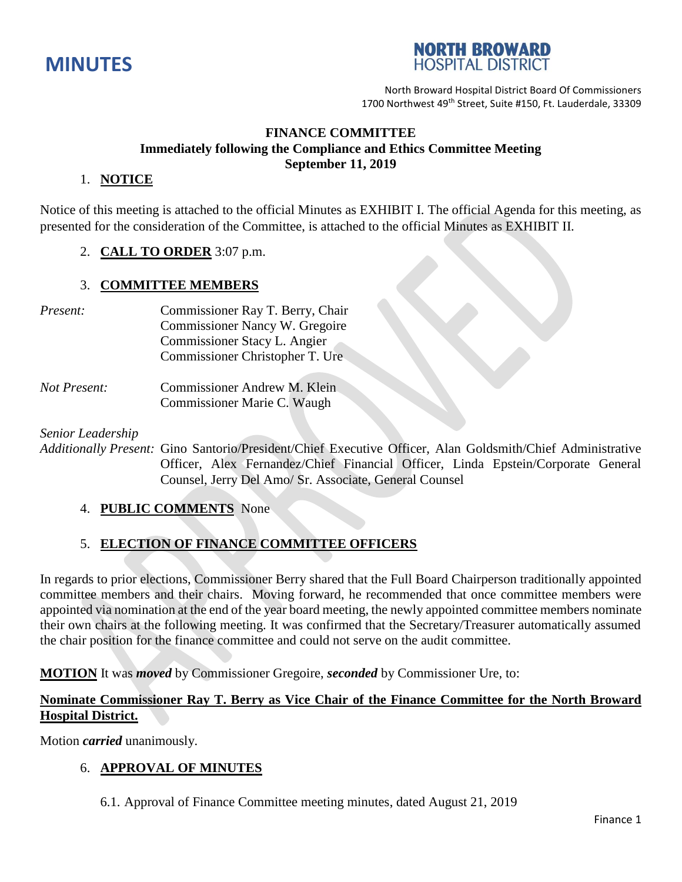



North Broward Hospital District Board Of Commissioners 1700 Northwest 49<sup>th</sup> Street, Suite #150, Ft. Lauderdale, 33309

## **FINANCE COMMITTEE Immediately following the Compliance and Ethics Committee Meeting September 11, 2019**

### 1. **NOTICE**

Notice of this meeting is attached to the official Minutes as EXHIBIT I. The official Agenda for this meeting, as presented for the consideration of the Committee, is attached to the official Minutes as EXHIBIT II.

### 2. **CALL TO ORDER** 3:07 p.m.

### 3. **COMMITTEE MEMBERS**

- *Present:* Commissioner Ray T. Berry, Chair Commissioner Nancy W. Gregoire Commissioner Stacy L. Angier Commissioner Christopher T. Ure
- *Not Present:* Commissioner Andrew M. Klein Commissioner Marie C. Waugh

*Senior Leadership*

*Additionally Present:* Gino Santorio/President/Chief Executive Officer, Alan Goldsmith/Chief Administrative Officer, Alex Fernandez/Chief Financial Officer, Linda Epstein/Corporate General Counsel, Jerry Del Amo/ Sr. Associate, General Counsel

### 4. **PUBLIC COMMENTS** None

# 5. **ELECTION OF FINANCE COMMITTEE OFFICERS**

In regards to prior elections, Commissioner Berry shared that the Full Board Chairperson traditionally appointed committee members and their chairs. Moving forward, he recommended that once committee members were appointed via nomination at the end of the year board meeting, the newly appointed committee members nominate their own chairs at the following meeting. It was confirmed that the Secretary/Treasurer automatically assumed the chair position for the finance committee and could not serve on the audit committee.

**MOTION** It was *moved* by Commissioner Gregoire, *seconded* by Commissioner Ure, to:

# **Nominate Commissioner Ray T. Berry as Vice Chair of the Finance Committee for the North Broward Hospital District.**

Motion *carried* unanimously.

### 6. **APPROVAL OF MINUTES**

6.1. Approval of Finance Committee meeting minutes, dated August 21, 2019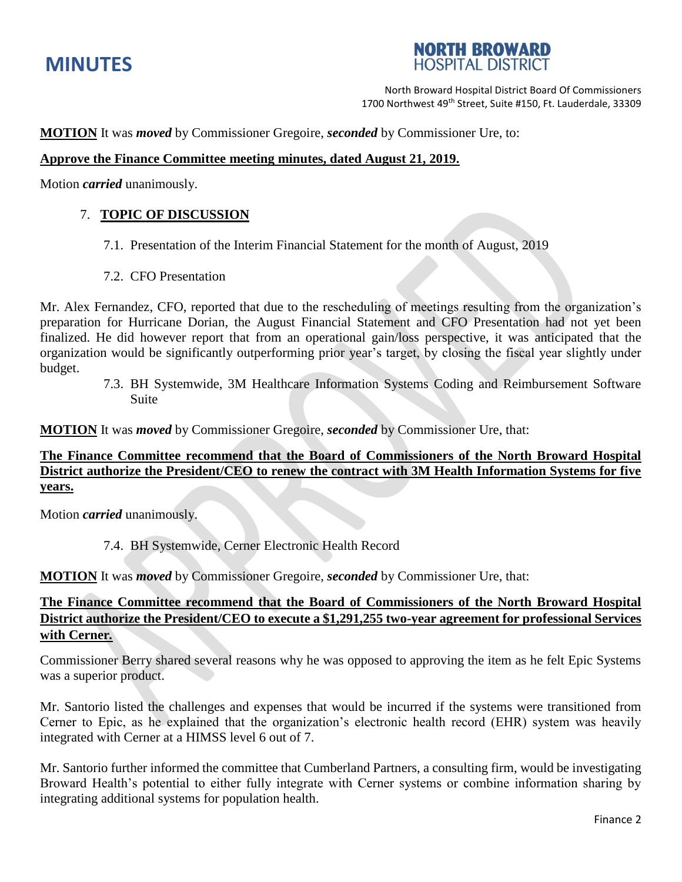# **MINUTES**

# **NORTH BROWARD HOSPITAL DISTRICT**

North Broward Hospital District Board Of Commissioners 1700 Northwest 49<sup>th</sup> Street, Suite #150, Ft. Lauderdale, 33309

**MOTION** It was *moved* by Commissioner Gregoire, *seconded* by Commissioner Ure, to:

# **Approve the Finance Committee meeting minutes, dated August 21, 2019.**

Motion *carried* unanimously.

# 7. **TOPIC OF DISCUSSION**

- 7.1. Presentation of the Interim Financial Statement for the month of August, 2019
- 7.2. CFO Presentation

Mr. Alex Fernandez, CFO, reported that due to the rescheduling of meetings resulting from the organization's preparation for Hurricane Dorian, the August Financial Statement and CFO Presentation had not yet been finalized. He did however report that from an operational gain/loss perspective, it was anticipated that the organization would be significantly outperforming prior year's target, by closing the fiscal year slightly under budget.

7.3. BH Systemwide, 3M Healthcare Information Systems Coding and Reimbursement Software Suite

**MOTION** It was *moved* by Commissioner Gregoire, *seconded* by Commissioner Ure, that:

**The Finance Committee recommend that the Board of Commissioners of the North Broward Hospital District authorize the President/CEO to renew the contract with 3M Health Information Systems for five years.** 

Motion *carried* unanimously.

7.4. BH Systemwide, Cerner Electronic Health Record

**MOTION** It was *moved* by Commissioner Gregoire, *seconded* by Commissioner Ure, that:

# **The Finance Committee recommend that the Board of Commissioners of the North Broward Hospital District authorize the President/CEO to execute a \$1,291,255 two-year agreement for professional Services with Cerner***.*

Commissioner Berry shared several reasons why he was opposed to approving the item as he felt Epic Systems was a superior product.

Mr. Santorio listed the challenges and expenses that would be incurred if the systems were transitioned from Cerner to Epic, as he explained that the organization's electronic health record (EHR) system was heavily integrated with Cerner at a HIMSS level 6 out of 7.

Mr. Santorio further informed the committee that Cumberland Partners, a consulting firm, would be investigating Broward Health's potential to either fully integrate with Cerner systems or combine information sharing by integrating additional systems for population health.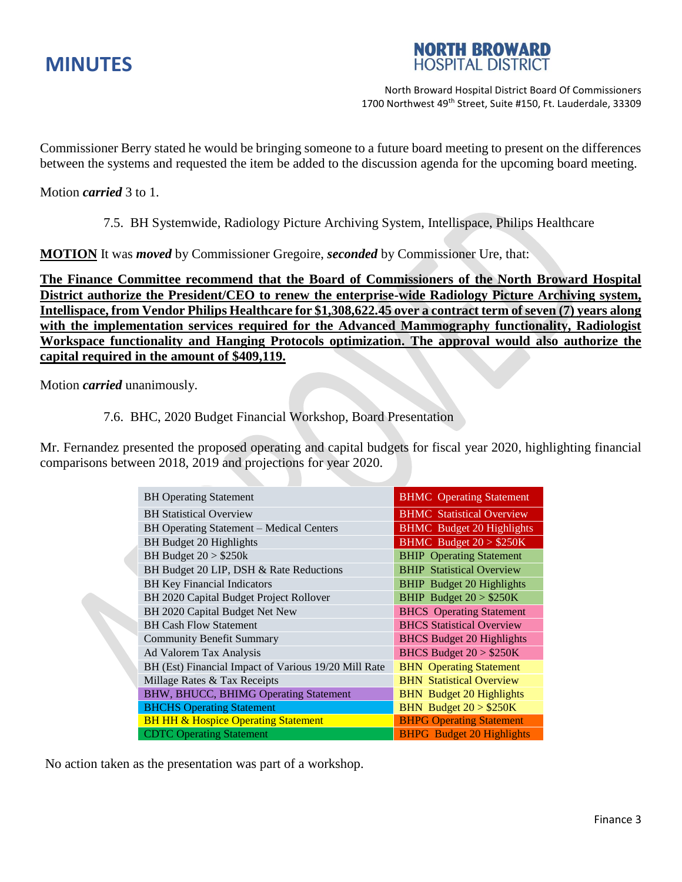



North Broward Hospital District Board Of Commissioners 1700 Northwest 49<sup>th</sup> Street, Suite #150, Ft. Lauderdale, 33309

Commissioner Berry stated he would be bringing someone to a future board meeting to present on the differences between the systems and requested the item be added to the discussion agenda for the upcoming board meeting.

Motion *carried* 3 to 1.

7.5. BH Systemwide, Radiology Picture Archiving System, Intellispace, Philips Healthcare

**MOTION** It was *moved* by Commissioner Gregoire, *seconded* by Commissioner Ure, that:

**The Finance Committee recommend that the Board of Commissioners of the North Broward Hospital District authorize the President/CEO to renew the enterprise-wide Radiology Picture Archiving system, Intellispace, from Vendor Philips Healthcare for \$1,308,622.45 over a contract term of seven (7) years along with the implementation services required for the Advanced Mammography functionality, Radiologist Workspace functionality and Hanging Protocols optimization. The approval would also authorize the capital required in the amount of \$409,119.**

Motion *carried* unanimously.

### 7.6. BHC, 2020 Budget Financial Workshop, Board Presentation

Mr. Fernandez presented the proposed operating and capital budgets for fiscal year 2020, highlighting financial comparisons between 2018, 2019 and projections for year 2020.

| <b>BH</b> Operating Statement                        | <b>BHMC</b> Operating Statement  |
|------------------------------------------------------|----------------------------------|
| <b>BH</b> Statistical Overview                       | <b>BHMC</b> Statistical Overview |
| BH Operating Statement - Medical Centers             | <b>BHMC</b> Budget 20 Highlights |
| BH Budget 20 Highlights                              | BHMC Budget $20 > $250K$         |
| BH Budget $20 > $250k$                               | <b>BHIP</b> Operating Statement  |
| BH Budget 20 LIP, DSH & Rate Reductions              | <b>BHIP Statistical Overview</b> |
| <b>BH Key Financial Indicators</b>                   | <b>BHIP</b> Budget 20 Highlights |
| BH 2020 Capital Budget Project Rollover              | BHIP Budget $20 > $250K$         |
| BH 2020 Capital Budget Net New                       | <b>BHCS</b> Operating Statement  |
| <b>BH Cash Flow Statement</b>                        | <b>BHCS Statistical Overview</b> |
| <b>Community Benefit Summary</b>                     | <b>BHCS Budget 20 Highlights</b> |
| Ad Valorem Tax Analysis                              | BHCS Budget $20 > $250K$         |
| BH (Est) Financial Impact of Various 19/20 Mill Rate | <b>BHN</b> Operating Statement   |
| Millage Rates & Tax Receipts                         | <b>BHN</b> Statistical Overview  |
| BHW, BHUCC, BHIMG Operating Statement                | <b>BHN</b> Budget 20 Highlights  |
| <b>BHCHS Operating Statement</b>                     | BHN Budget $20 > $250K$          |
| <b>BH HH &amp; Hospice Operating Statement</b>       | <b>BHPG Operating Statement</b>  |
| <b>CDTC Operating Statement</b>                      | <b>BHPG</b> Budget 20 Highlights |

No action taken as the presentation was part of a workshop.